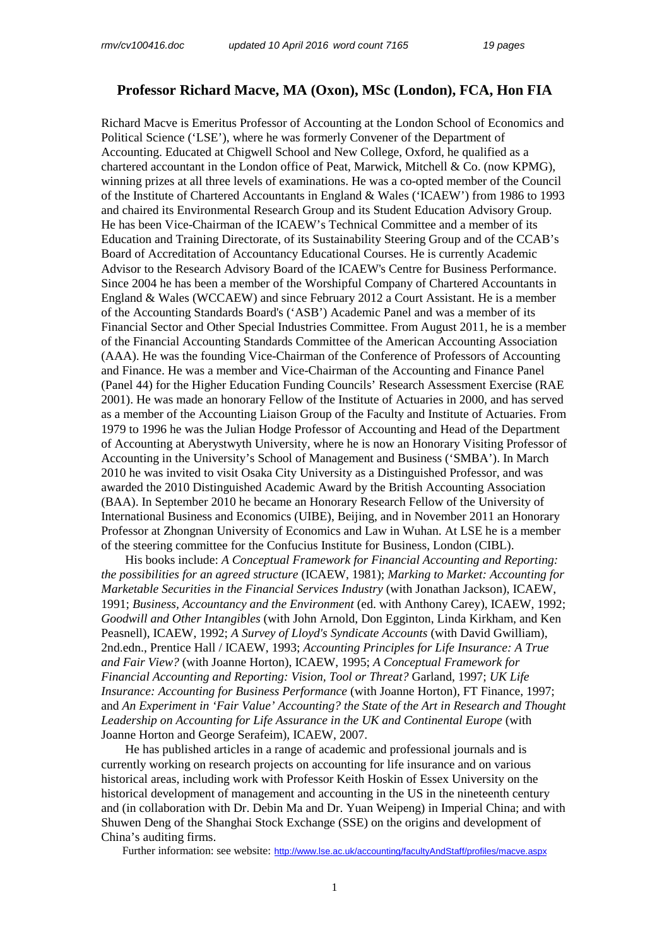## **Professor Richard Macve, MA (Oxon), MSc (London), FCA, Hon FIA**

Richard Macve is Emeritus Professor of Accounting at the London School of Economics and Political Science ('LSE'), where he was formerly Convener of the Department of Accounting. Educated at Chigwell School and New College, Oxford, he qualified as a chartered accountant in the London office of Peat, Marwick, Mitchell & Co. (now KPMG), winning prizes at all three levels of examinations. He was a co-opted member of the Council of the Institute of Chartered Accountants in England & Wales ('ICAEW') from 1986 to 1993 and chaired its Environmental Research Group and its Student Education Advisory Group. He has been Vice-Chairman of the ICAEW's Technical Committee and a member of its Education and Training Directorate, of its Sustainability Steering Group and of the CCAB's Board of Accreditation of Accountancy Educational Courses. He is currently Academic Advisor to the Research Advisory Board of the ICAEW's Centre for Business Performance. Since 2004 he has been a member of the Worshipful Company of Chartered Accountants in England & Wales (WCCAEW) and since February 2012 a Court Assistant. He is a member of the Accounting Standards Board's ('ASB') Academic Panel and was a member of its Financial Sector and Other Special Industries Committee. From August 2011, he is a member of the Financial Accounting Standards Committee of the American Accounting Association (AAA). He was the founding Vice-Chairman of the Conference of Professors of Accounting and Finance. He was a member and Vice-Chairman of the Accounting and Finance Panel (Panel 44) for the Higher Education Funding Councils' Research Assessment Exercise (RAE 2001). He was made an honorary Fellow of the Institute of Actuaries in 2000, and has served as a member of the Accounting Liaison Group of the Faculty and Institute of Actuaries. From 1979 to 1996 he was the Julian Hodge Professor of Accounting and Head of the Department of Accounting at Aberystwyth University, where he is now an Honorary Visiting Professor of Accounting in the University's School of Management and Business ('SMBA'). In March 2010 he was invited to visit Osaka City University as a Distinguished Professor, and was awarded the 2010 Distinguished Academic Award by the British Accounting Association (BAA). In September 2010 he became an Honorary Research Fellow of the University of International Business and Economics (UIBE), Beijing, and in November 2011 an Honorary Professor at Zhongnan University of Economics and Law in Wuhan. At LSE he is a member of the steering committee for the Confucius Institute for Business, London (CIBL).

His books include: *A Conceptual Framework for Financial Accounting and Reporting: the possibilities for an agreed structure* (ICAEW, 1981); *Marking to Market: Accounting for Marketable Securities in the Financial Services Industry* (with Jonathan Jackson), ICAEW, 1991; *Business, Accountancy and the Environment* (ed. with Anthony Carey), ICAEW, 1992; *Goodwill and Other Intangibles* (with John Arnold, Don Egginton, Linda Kirkham, and Ken Peasnell), ICAEW, 1992; *A Survey of Lloyd's Syndicate Accounts* (with David Gwilliam), 2nd.edn., Prentice Hall / ICAEW, 1993; *Accounting Principles for Life Insurance: A True and Fair View?* (with Joanne Horton), ICAEW, 1995; *A Conceptual Framework for Financial Accounting and Reporting: Vision, Tool or Threat?* Garland, 1997; *UK Life Insurance: Accounting for Business Performance* (with Joanne Horton), FT Finance, 1997; and *An Experiment in 'Fair Value' Accounting? the State of the Art in Research and Thought Leadership on Accounting for Life Assurance in the UK and Continental Europe* (with Joanne Horton and George Serafeim), ICAEW, 2007.

He has published articles in a range of academic and professional journals and is currently working on research projects on accounting for life insurance and on various historical areas, including work with Professor Keith Hoskin of Essex University on the historical development of management and accounting in the US in the nineteenth century and (in collaboration with Dr. Debin Ma and Dr. Yuan Weipeng) in Imperial China; and with Shuwen Deng of the Shanghai Stock Exchange (SSE) on the origins and development of China's auditing firms.

Further information: see website: http://www.lse.ac.uk/accounting/facultyAndStaff/profiles/macve.aspx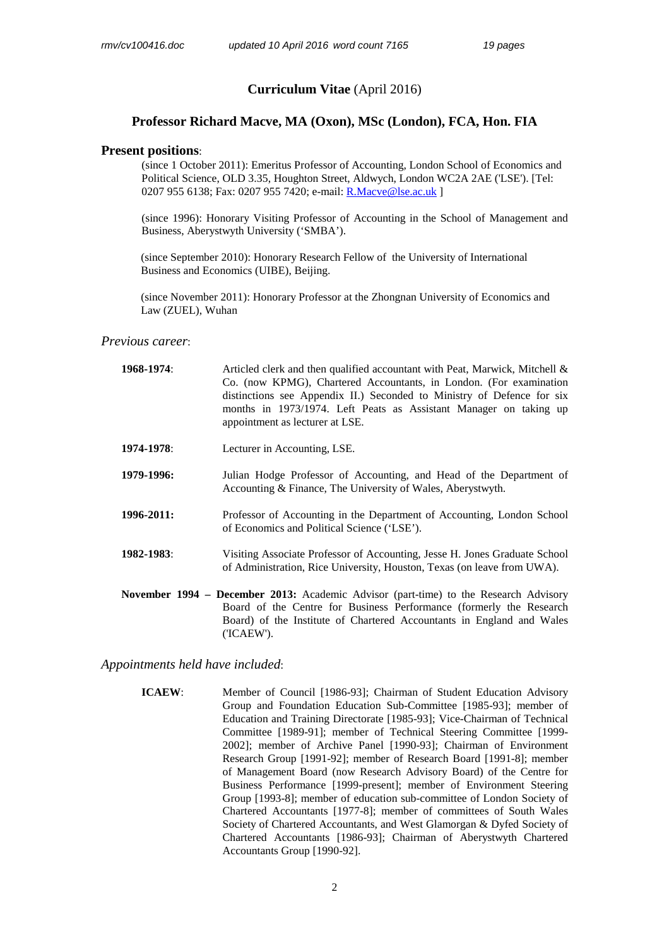## **Curriculum Vitae** (April 2016)

## **Professor Richard Macve, MA (Oxon), MSc (London), FCA, Hon. FIA**

### **Present positions**:

(since 1 October 2011): Emeritus Professor of Accounting, London School of Economics and Political Science, OLD 3.35, Houghton Street, Aldwych, London WC2A 2AE ('LSE'). [Tel: 0207 955 6138; Fax: 0207 955 7420; e-mail: R.Macve@lse.ac.uk ]

 (since 1996): Honorary Visiting Professor of Accounting in the School of Management and Business, Aberystwyth University ('SMBA').

 (since September 2010): Honorary Research Fellow of the University of International Business and Economics (UIBE), Beijing.

 (since November 2011): Honorary Professor at the Zhongnan University of Economics and Law (ZUEL), Wuhan

## *Previous career*:

| 1968-1974: | Articled clerk and then qualified accountant with Peat, Marwick, Mitchell $\&$<br>Co. (now KPMG), Chartered Accountants, in London. (For examination<br>distinctions see Appendix II.) Seconded to Ministry of Defence for six<br>months in 1973/1974. Left Peats as Assistant Manager on taking up<br>appointment as lecturer at LSE. |  |  |  |
|------------|----------------------------------------------------------------------------------------------------------------------------------------------------------------------------------------------------------------------------------------------------------------------------------------------------------------------------------------|--|--|--|
| 1974-1978: | Lecturer in Accounting, LSE.                                                                                                                                                                                                                                                                                                           |  |  |  |
| 1979-1996: | Julian Hodge Professor of Accounting, and Head of the Department of<br>Accounting & Finance, The University of Wales, Aberystwyth.                                                                                                                                                                                                     |  |  |  |
| 1996-2011: | Professor of Accounting in the Department of Accounting, London School<br>of Economics and Political Science ('LSE').                                                                                                                                                                                                                  |  |  |  |
| 1982-1983: | Visiting Associate Professor of Accounting, Jesse H. Jones Graduate School<br>of Administration, Rice University, Houston, Texas (on leave from UWA).                                                                                                                                                                                  |  |  |  |
|            | November 1994 – December 2013: Academic Advisor (part-time) to the Research Advisory<br>Board of the Centre for Business Performance (formerly the Research<br>Board) of the Institute of Chartered Accountants in England and Wales<br>('ICAEW').                                                                                     |  |  |  |

#### *Appointments held have included*:

**ICAEW:** Member of Council [1986-93]; Chairman of Student Education Advisory Group and Foundation Education Sub-Committee [1985-93]; member of Education and Training Directorate [1985-93]; Vice-Chairman of Technical Committee [1989-91]; member of Technical Steering Committee [1999- 2002]; member of Archive Panel [1990-93]; Chairman of Environment Research Group [1991-92]; member of Research Board [1991-8]; member of Management Board (now Research Advisory Board) of the Centre for Business Performance [1999-present]; member of Environment Steering Group [1993-8]; member of education sub-committee of London Society of Chartered Accountants [1977-8]; member of committees of South Wales Society of Chartered Accountants, and West Glamorgan & Dyfed Society of Chartered Accountants [1986-93]; Chairman of Aberystwyth Chartered Accountants Group [1990-92].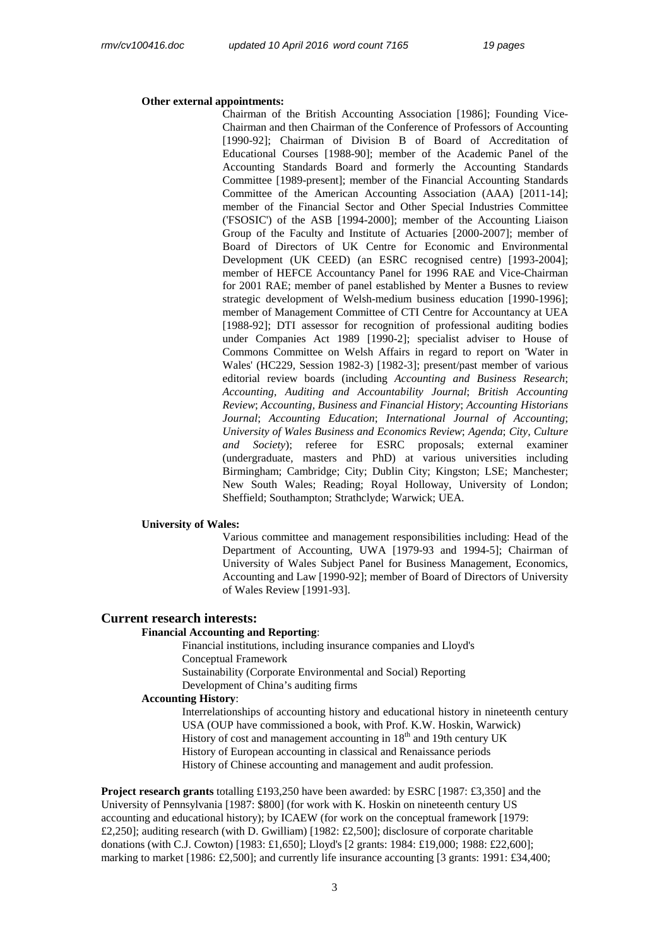#### **Other external appointments:**

Chairman of the British Accounting Association [1986]; Founding Vice-Chairman and then Chairman of the Conference of Professors of Accounting [1990-92]; Chairman of Division B of Board of Accreditation of Educational Courses [1988-90]; member of the Academic Panel of the Accounting Standards Board and formerly the Accounting Standards Committee [1989-present]; member of the Financial Accounting Standards Committee of the American Accounting Association (AAA) [2011-14]; member of the Financial Sector and Other Special Industries Committee ('FSOSIC') of the ASB [1994-2000]; member of the Accounting Liaison Group of the Faculty and Institute of Actuaries [2000-2007]; member of Board of Directors of UK Centre for Economic and Environmental Development (UK CEED) (an ESRC recognised centre) [1993-2004]; member of HEFCE Accountancy Panel for 1996 RAE and Vice-Chairman for 2001 RAE; member of panel established by Menter a Busnes to review strategic development of Welsh-medium business education [1990-1996]; member of Management Committee of CTI Centre for Accountancy at UEA [1988-92]; DTI assessor for recognition of professional auditing bodies under Companies Act 1989 [1990-2]; specialist adviser to House of Commons Committee on Welsh Affairs in regard to report on 'Water in Wales' (HC229, Session 1982-3) [1982-3]; present/past member of various editorial review boards (including *Accounting and Business Research*; *Accounting, Auditing and Accountability Journal*; *British Accounting Review*; *Accounting, Business and Financial History*; *Accounting Historians Journal*; *Accounting Education*; *International Journal of Accounting*; *University of Wales Business and Economics Review*; *Agenda*; *City, Culture and Society*); referee for ESRC proposals; external examiner (undergraduate, masters and PhD) at various universities including Birmingham; Cambridge; City; Dublin City; Kingston; LSE; Manchester; New South Wales; Reading; Royal Holloway, University of London; Sheffield; Southampton; Strathclyde; Warwick; UEA.

#### **University of Wales:**

Various committee and management responsibilities including: Head of the Department of Accounting, UWA [1979-93 and 1994-5]; Chairman of University of Wales Subject Panel for Business Management, Economics, Accounting and Law [1990-92]; member of Board of Directors of University of Wales Review [1991-93].

#### **Current research interests:**

## **Financial Accounting and Reporting**:

 Financial institutions, including insurance companies and Lloyd's Conceptual Framework Sustainability (Corporate Environmental and Social) Reporting

Development of China's auditing firms

#### **Accounting History**:

Interrelationships of accounting history and educational history in nineteenth century USA (OUP have commissioned a book, with Prof. K.W. Hoskin, Warwick) History of cost and management accounting in  $18<sup>th</sup>$  and 19th century UK History of European accounting in classical and Renaissance periods History of Chinese accounting and management and audit profession.

**Project research grants** totalling £193,250 have been awarded: by ESRC [1987: £3,350] and the University of Pennsylvania [1987: \$800] (for work with K. Hoskin on nineteenth century US accounting and educational history); by ICAEW (for work on the conceptual framework [1979: £2,250]; auditing research (with D. Gwilliam) [1982: £2,500]; disclosure of corporate charitable donations (with C.J. Cowton) [1983: £1,650]; Lloyd's [2 grants: 1984: £19,000; 1988: £22,600]; marking to market [1986: £2,500]; and currently life insurance accounting [3 grants: 1991: £34,400;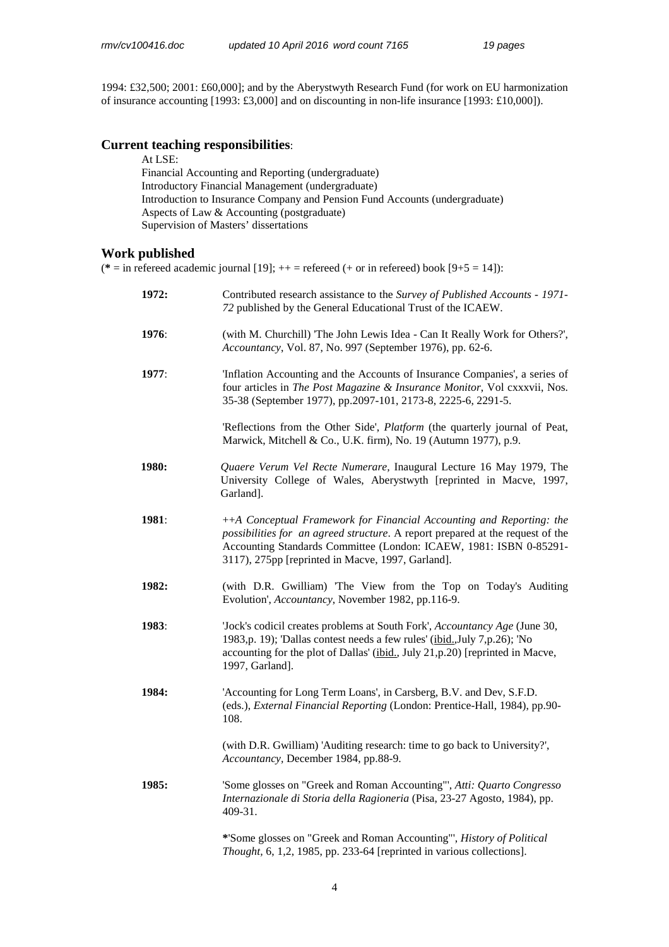1994: £32,500; 2001: £60,000]; and by the Aberystwyth Research Fund (for work on EU harmonization of insurance accounting [1993: £3,000] and on discounting in non-life insurance [1993: £10,000]).

# **Current teaching responsibilities**:

| At LSE:                                                                     |
|-----------------------------------------------------------------------------|
| Financial Accounting and Reporting (undergraduate)                          |
| Introductory Financial Management (undergraduate)                           |
| Introduction to Insurance Company and Pension Fund Accounts (undergraduate) |
| Aspects of Law & Accounting (postgraduate)                                  |
| Supervision of Masters' dissertations                                       |
|                                                                             |

## **Work published**

( $* =$  in refereed academic journal [19];  $++ =$  refereed (+ or in refereed) book [9+5 = 14]):

| 1972:        | Contributed research assistance to the Survey of Published Accounts - 1971-<br>72 published by the General Educational Trust of the ICAEW.                                                                                                                                        |
|--------------|-----------------------------------------------------------------------------------------------------------------------------------------------------------------------------------------------------------------------------------------------------------------------------------|
| 1976:        | (with M. Churchill) 'The John Lewis Idea - Can It Really Work for Others?',<br>Accountancy, Vol. 87, No. 997 (September 1976), pp. 62-6.                                                                                                                                          |
| 1977:        | 'Inflation Accounting and the Accounts of Insurance Companies', a series of<br>four articles in The Post Magazine & Insurance Monitor, Vol cxxxvii, Nos.<br>35-38 (September 1977), pp.2097-101, 2173-8, 2225-6, 2291-5.                                                          |
|              | 'Reflections from the Other Side', <i>Platform</i> (the quarterly journal of Peat,<br>Marwick, Mitchell & Co., U.K. firm), No. 19 (Autumn 1977), p.9.                                                                                                                             |
| <b>1980:</b> | Quaere Verum Vel Recte Numerare, Inaugural Lecture 16 May 1979, The<br>University College of Wales, Aberystwyth [reprinted in Macve, 1997,<br>Garland].                                                                                                                           |
| 1981:        | ++A Conceptual Framework for Financial Accounting and Reporting: the<br>possibilities for an agreed structure. A report prepared at the request of the<br>Accounting Standards Committee (London: ICAEW, 1981: ISBN 0-85291-<br>3117), 275pp [reprinted in Macve, 1997, Garland]. |
| 1982:        | (with D.R. Gwilliam) The View from the Top on Today's Auditing<br>Evolution', Accountancy, November 1982, pp.116-9.                                                                                                                                                               |
| 1983:        | 'Jock's codicil creates problems at South Fork', Accountancy Age (June 30,<br>1983, p. 19); 'Dallas contest needs a few rules' (ibid., July 7, p. 26); 'No<br>accounting for the plot of Dallas' (ibid., July 21,p.20) [reprinted in Macve,<br>1997, Garland].                    |
| 1984:        | 'Accounting for Long Term Loans', in Carsberg, B.V. and Dev, S.F.D.<br>(eds.), External Financial Reporting (London: Prentice-Hall, 1984), pp.90-<br>108.                                                                                                                         |
|              | (with D.R. Gwilliam) 'Auditing research: time to go back to University?',<br>Accountancy, December 1984, pp.88-9.                                                                                                                                                                 |
| 1985:        | 'Some glosses on "Greek and Roman Accounting"', Atti: Quarto Congresso<br>Internazionale di Storia della Ragioneria (Pisa, 23-27 Agosto, 1984), pp.<br>409-31.                                                                                                                    |
|              | *'Some glosses on "Greek and Roman Accounting"', History of Political<br>Thought, 6, 1,2, 1985, pp. 233-64 [reprinted in various collections].                                                                                                                                    |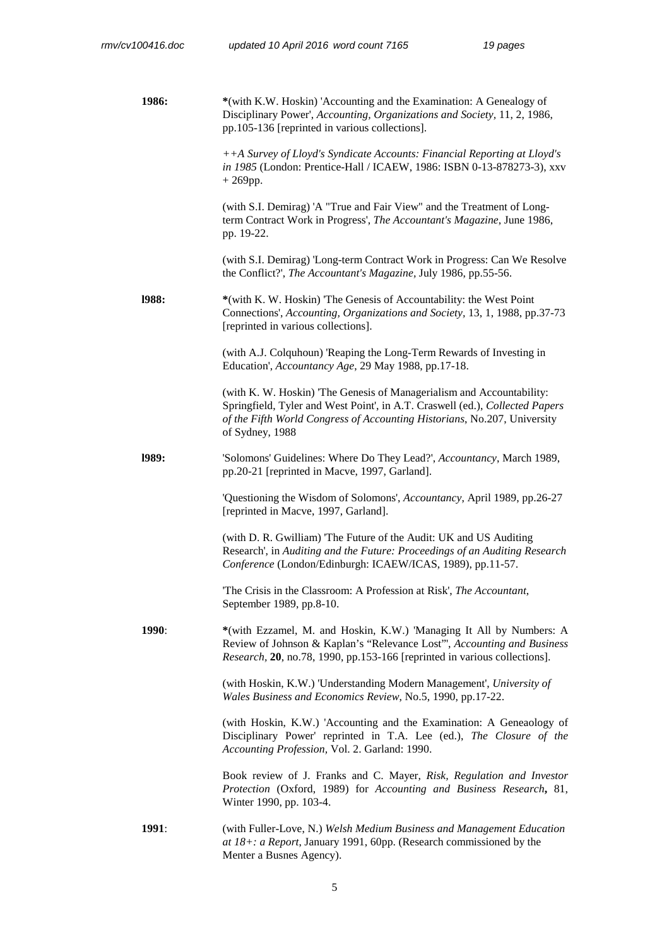**1986: \***(with K.W. Hoskin) 'Accounting and the Examination: A Genealogy of Disciplinary Power', *Accounting, Organizations and Society,* 11, 2, 1986, pp.105-136 [reprinted in various collections]. *++A Survey of Lloyd's Syndicate Accounts: Financial Reporting at Lloyd's in 1985* (London: Prentice-Hall / ICAEW, 1986: ISBN 0-13-878273-3), xxv  $+ 269$ pp. (with S.I. Demirag) 'A "True and Fair View" and the Treatment of Longterm Contract Work in Progress', *The Accountant's Magazine*, June 1986, pp. 19-22. (with S.I. Demirag) 'Long-term Contract Work in Progress: Can We Resolve the Conflict?', *The Accountant's Magazine,* July 1986, pp.55-56. **l988: \***(with K. W. Hoskin) 'The Genesis of Accountability: the West Point Connections', *Accounting, Organizations and Society,* 13, 1, 1988, pp.37-73 [reprinted in various collections]. (with A.J. Colquhoun) 'Reaping the Long-Term Rewards of Investing in Education', *Accountancy Age*, 29 May 1988, pp.17-18. (with K. W. Hoskin) 'The Genesis of Managerialism and Accountability: Springfield, Tyler and West Point', in A.T. Craswell (ed.), *Collected Papers of the Fifth World Congress of Accounting Historians*, No.207, University of Sydney, 1988 **l989:** 'Solomons' Guidelines: Where Do They Lead?', *Accountancy*, March 1989, pp.20-21 [reprinted in Macve, 1997, Garland]. 'Questioning the Wisdom of Solomons', *Accountancy*, April 1989, pp.26-27 [reprinted in Macve, 1997, Garland]. (with D. R. Gwilliam) 'The Future of the Audit: UK and US Auditing Research', in *Auditing and the Future: Proceedings of an Auditing Research Conference* (London/Edinburgh: ICAEW/ICAS, 1989), pp.11-57. 'The Crisis in the Classroom: A Profession at Risk', *The Accountant*, September 1989, pp.8-10. **1990**: **\***(with Ezzamel, M. and Hoskin, K.W.) 'Managing It All by Numbers: A Review of Johnson & Kaplan's "Relevance Lost"', *Accounting and Business Research,* **20**, no.78, 1990, pp.153-166 [reprinted in various collections]. (with Hoskin, K.W.) 'Understanding Modern Management', *University of Wales Business and Economics Review*, No.5, 1990, pp.17-22. (with Hoskin, K.W.) 'Accounting and the Examination: A Geneaology of Disciplinary Power' reprinted in T.A. Lee (ed.), *The Closure of the Accounting Profession,* Vol. 2. Garland: 1990. Book review of J. Franks and C. Mayer, *Risk, Regulation and Investor Protection* (Oxford, 1989) for *Accounting and Business Research***,** 81, Winter 1990, pp. 103-4. **1991**: (with Fuller-Love, N.) *Welsh Medium Business and Management Education at 18+: a Report*, January 1991, 60pp. (Research commissioned by the Menter a Busnes Agency).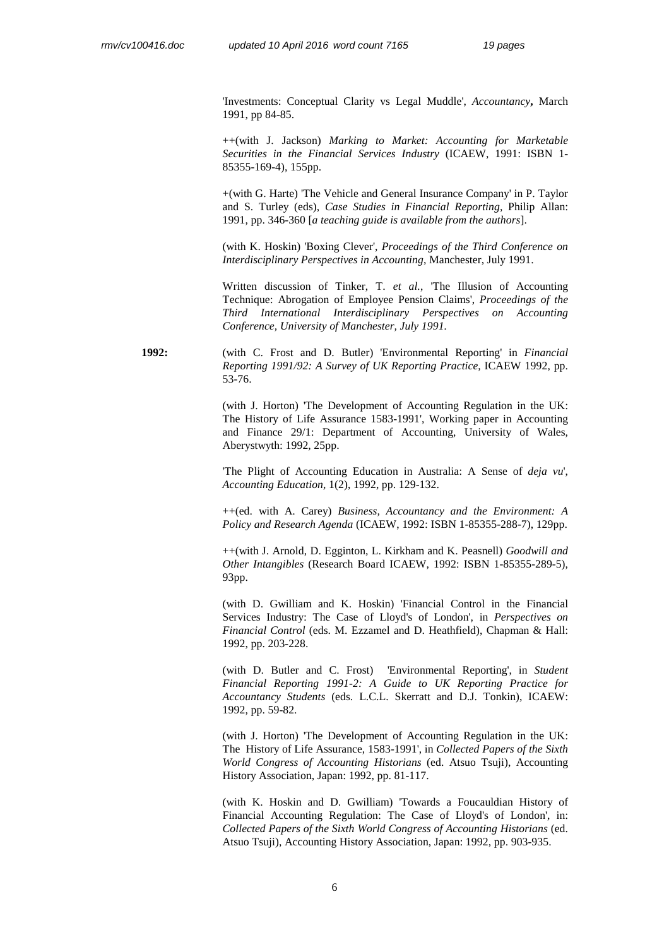'Investments: Conceptual Clarity vs Legal Muddle', *Accountancy***,** March 1991, pp 84-85.

++(with J. Jackson) *Marking to Market: Accounting for Marketable Securities in the Financial Services Industry* (ICAEW, 1991: ISBN 1- 85355-169-4), 155pp.

+(with G. Harte) 'The Vehicle and General Insurance Company' in P. Taylor and S. Turley (eds), *Case Studies in Financial Reporting,* Philip Allan: 1991, pp. 346-360 [*a teaching guide is available from the authors*].

(with K. Hoskin) 'Boxing Clever', *Proceedings of the Third Conference on Interdisciplinary Perspectives in Accounting*, Manchester, July 1991.

Written discussion of Tinker, T. *et al.*, 'The Illusion of Accounting Technique: Abrogation of Employee Pension Claims', *Proceedings of the Third International Interdisciplinary Perspectives on Accounting Conference, University of Manchester, July 1991.*

**1992:** (with C. Frost and D. Butler) 'Environmental Reporting' in *Financial Reporting 1991/92: A Survey of UK Reporting Practice,* ICAEW 1992, pp. 53-76.

> (with J. Horton) 'The Development of Accounting Regulation in the UK: The History of Life Assurance 1583-1991', Working paper in Accounting and Finance 29/1: Department of Accounting, University of Wales, Aberystwyth: 1992, 25pp.

> 'The Plight of Accounting Education in Australia: A Sense of *deja vu*', *Accounting Education,* 1(2), 1992, pp. 129-132.

> ++(ed. with A. Carey) *Business, Accountancy and the Environment: A Policy and Research Agenda* (ICAEW, 1992: ISBN 1-85355-288-7), 129pp.

> ++(with J. Arnold, D. Egginton, L. Kirkham and K. Peasnell) *Goodwill and Other Intangibles* (Research Board ICAEW, 1992: ISBN 1-85355-289-5), 93pp.

> (with D. Gwilliam and K. Hoskin) 'Financial Control in the Financial Services Industry: The Case of Lloyd's of London', in *Perspectives on Financial Control* (eds. M. Ezzamel and D. Heathfield), Chapman & Hall: 1992, pp. 203-228.

> (with D. Butler and C. Frost) 'Environmental Reporting', in *Student Financial Reporting 1991-2: A Guide to UK Reporting Practice for Accountancy Students* (eds. L.C.L. Skerratt and D.J. Tonkin), ICAEW: 1992, pp. 59-82.

> (with J. Horton) 'The Development of Accounting Regulation in the UK: The History of Life Assurance, 1583-1991', in *Collected Papers of the Sixth World Congress of Accounting Historians* (ed. Atsuo Tsuji), Accounting History Association, Japan: 1992, pp. 81-117.

> (with K. Hoskin and D. Gwilliam) 'Towards a Foucauldian History of Financial Accounting Regulation: The Case of Lloyd's of London', in: *Collected Papers of the Sixth World Congress of Accounting Historians* (ed. Atsuo Tsuji), Accounting History Association, Japan: 1992, pp. 903-935.

> > 6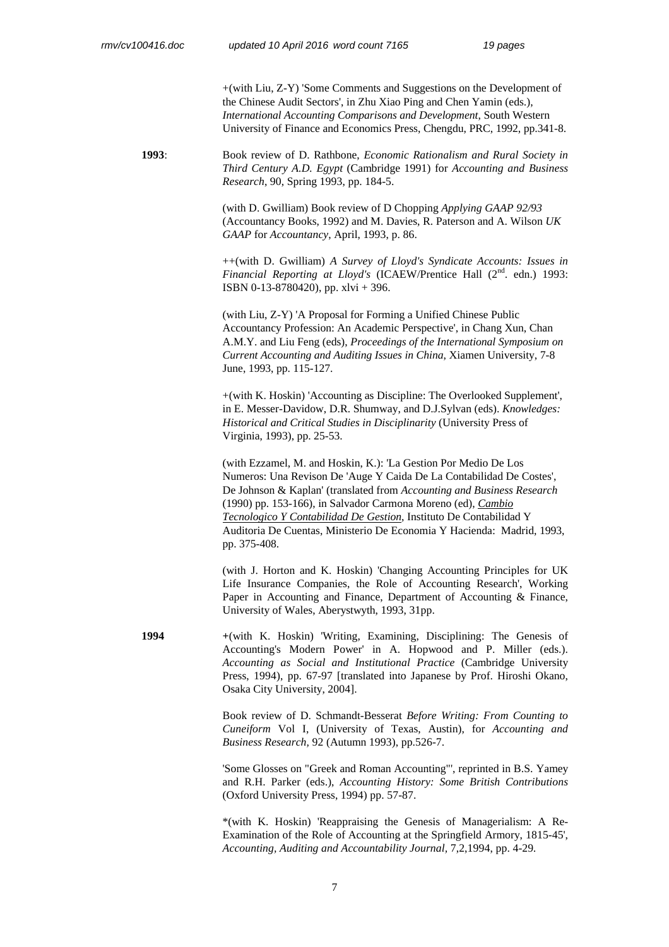+(with Liu, Z-Y) 'Some Comments and Suggestions on the Development of the Chinese Audit Sectors', in Zhu Xiao Ping and Chen Yamin (eds.), *International Accounting Comparisons and Development*, South Western University of Finance and Economics Press, Chengdu, PRC, 1992, pp.341-8.

**1993**: Book review of D. Rathbone, *Economic Rationalism and Rural Society in Third Century A.D. Egypt* (Cambridge 1991) for *Accounting and Business Research*, 90, Spring 1993, pp. 184-5.

> (with D. Gwilliam) Book review of D Chopping *Applying GAAP 92/93*  (Accountancy Books, 1992) and M. Davies, R. Paterson and A. Wilson *UK GAAP* for *Accountancy*, April, 1993, p. 86.

++(with D. Gwilliam) *A Survey of Lloyd's Syndicate Accounts: Issues in Financial Reporting at Lloyd's* (ICAEW/Prentice Hall  $(2^{nd}$ . edn.) 1993: ISBN 0-13-8780420), pp. xlvi + 396.

(with Liu, Z-Y) 'A Proposal for Forming a Unified Chinese Public Accountancy Profession: An Academic Perspective', in Chang Xun, Chan A.M.Y. and Liu Feng (eds), *Proceedings of the International Symposium on Current Accounting and Auditing Issues in China*, Xiamen University, 7-8 June, 1993, pp. 115-127.

+(with K. Hoskin) 'Accounting as Discipline: The Overlooked Supplement', in E. Messer-Davidow, D.R. Shumway, and D.J.Sylvan (eds). *Knowledges: Historical and Critical Studies in Disciplinarity* (University Press of Virginia, 1993), pp. 25-53.

(with Ezzamel, M. and Hoskin, K.): 'La Gestion Por Medio De Los Numeros: Una Revison De 'Auge Y Caida De La Contabilidad De Costes', De Johnson & Kaplan' (translated from *Accounting and Business Research*  (1990) pp. 153-166), in Salvador Carmona Moreno (ed), *Cambio Tecnologico Y Contabilidad De Gestion*, Instituto De Contabilidad Y Auditoria De Cuentas, Ministerio De Economia Y Hacienda: Madrid, 1993, pp. 375-408.

(with J. Horton and K. Hoskin) 'Changing Accounting Principles for UK Life Insurance Companies, the Role of Accounting Research', Working Paper in Accounting and Finance, Department of Accounting & Finance, University of Wales, Aberystwyth, 1993, 31pp.

**1994 +**(with K. Hoskin) 'Writing, Examining, Disciplining: The Genesis of Accounting's Modern Power' in A. Hopwood and P. Miller (eds.). *Accounting as Social and Institutional Practice* (Cambridge University Press, 1994), pp. 67-97 [translated into Japanese by Prof. Hiroshi Okano, Osaka City University, 2004].

> Book review of D. Schmandt-Besserat *Before Writing: From Counting to Cuneiform* Vol I, (University of Texas, Austin), for *Accounting and Business Research,* 92 (Autumn 1993), pp.526-7.

> 'Some Glosses on "Greek and Roman Accounting"', reprinted in B.S. Yamey and R.H. Parker (eds.), *Accounting History: Some British Contributions*  (Oxford University Press, 1994) pp. 57-87.

> \*(with K. Hoskin) 'Reappraising the Genesis of Managerialism: A Re-Examination of the Role of Accounting at the Springfield Armory, 1815-45', *Accounting, Auditing and Accountability Journal,* 7,2,1994, pp. 4-29*.*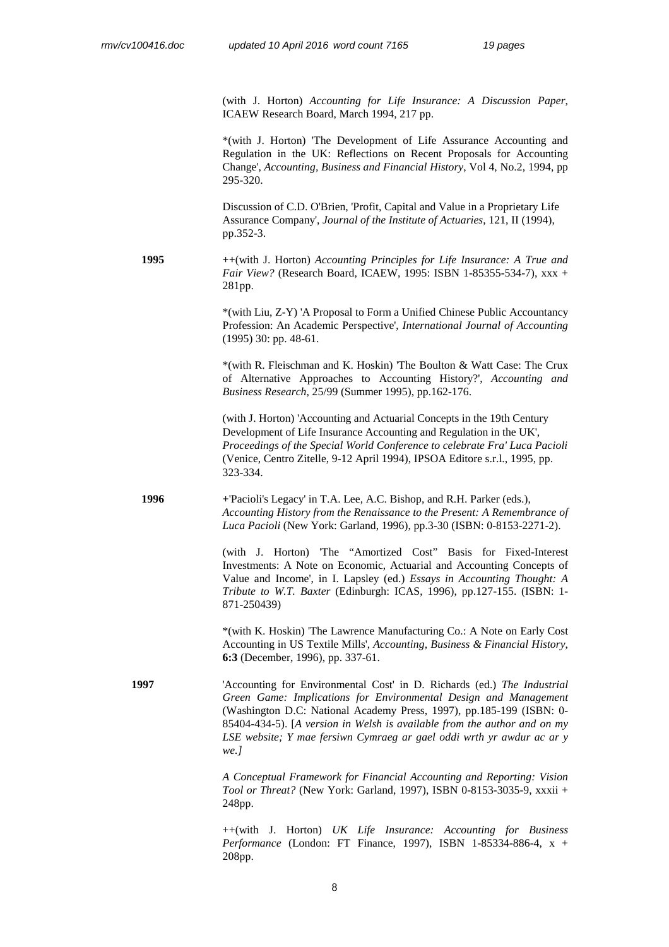(with J. Horton) *Accounting for Life Insurance: A Discussion Paper*, ICAEW Research Board, March 1994, 217 pp.

\*(with J. Horton) 'The Development of Life Assurance Accounting and Regulation in the UK: Reflections on Recent Proposals for Accounting Change', *Accounting, Business and Financial History*, Vol 4, No.2, 1994, pp 295-320.

Discussion of C.D. O'Brien, 'Profit, Capital and Value in a Proprietary Life Assurance Company', *Journal of the Institute of Actuaries*, 121, II (1994), pp.352-3.

**1995 ++**(with J. Horton) *Accounting Principles for Life Insurance: A True and Fair View?* (Research Board, ICAEW, 1995: ISBN 1-85355-534-7), xxx + 281pp.

> \*(with Liu, Z-Y) 'A Proposal to Form a Unified Chinese Public Accountancy Profession: An Academic Perspective', *International Journal of Accounting*  (1995) 30: pp. 48-61.

> \*(with R. Fleischman and K. Hoskin) 'The Boulton & Watt Case: The Crux of Alternative Approaches to Accounting History?', *Accounting and Business Research*, 25/99 (Summer 1995), pp.162-176.

> (with J. Horton) 'Accounting and Actuarial Concepts in the 19th Century Development of Life Insurance Accounting and Regulation in the UK', *Proceedings of the Special World Conference to celebrate Fra' Luca Pacioli* (Venice, Centro Zitelle, 9-12 April 1994), IPSOA Editore s.r.l., 1995, pp. 323-334.

**1996 +**'Pacioli's Legacy' in T.A. Lee, A.C. Bishop, and R.H. Parker (eds.), *Accounting History from the Renaissance to the Present: A Remembrance of Luca Pacioli* (New York: Garland, 1996), pp.3-30 (ISBN: 0-8153-2271-2).

> (with J. Horton) 'The "Amortized Cost" Basis for Fixed-Interest Investments: A Note on Economic, Actuarial and Accounting Concepts of Value and Income', in I. Lapsley (ed.) *Essays in Accounting Thought: A Tribute to W.T. Baxter* (Edinburgh: ICAS, 1996), pp.127-155. (ISBN: 1- 871-250439)

> \*(with K. Hoskin) 'The Lawrence Manufacturing Co.: A Note on Early Cost Accounting in US Textile Mills', *Accounting, Business & Financial History*, **6:3** (December, 1996), pp. 337-61.

**1997** 'Accounting for Environmental Cost' in D. Richards (ed.) *The Industrial Green Game: Implications for Environmental Design and Management* (Washington D.C: National Academy Press, 1997), pp.185-199 (ISBN: 0- 85404-434-5). [*A version in Welsh is available from the author and on my LSE website; Y mae fersiwn Cymraeg ar gael oddi wrth yr awdur ac ar y we.]*

> *A Conceptual Framework for Financial Accounting and Reporting: Vision Tool or Threat?* (New York: Garland, 1997), ISBN 0-8153-3035-9, xxxii + 248pp.

> ++(with J. Horton) *UK Life Insurance: Accounting for Business Performance* (London: FT Finance, 1997), ISBN 1-85334-886-4, x + 208pp.

> > 8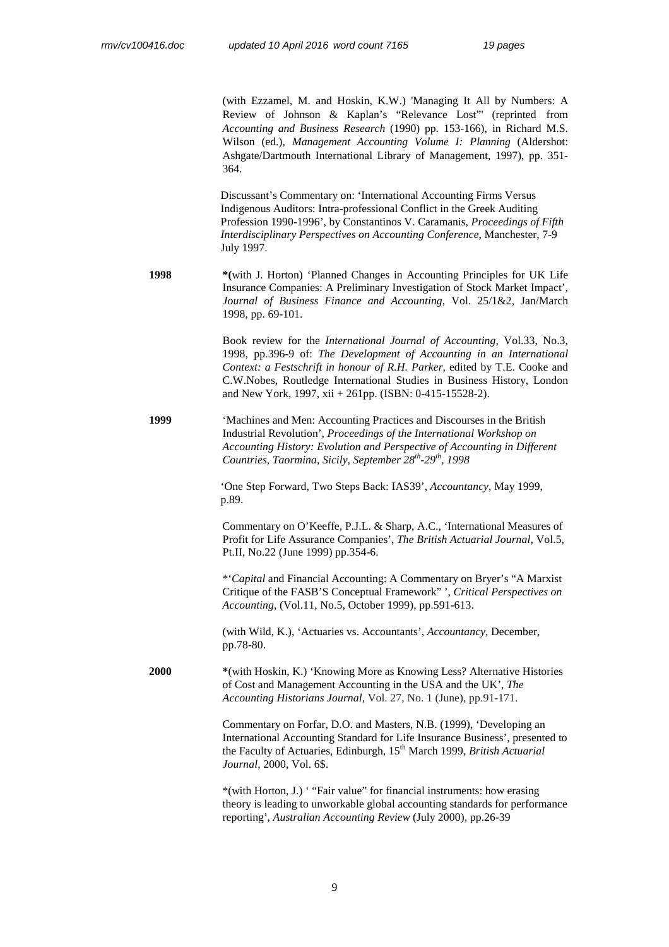(with Ezzamel, M. and Hoskin, K.W.) 'Managing It All by Numbers: A Review of Johnson & Kaplan's "Relevance Lost"' (reprinted from *Accounting and Business Research* (1990) pp. 153-166), in Richard M.S. Wilson (ed.), *Management Accounting Volume I: Planning* (Aldershot: Ashgate/Dartmouth International Library of Management, 1997), pp. 351- 364.

Discussant's Commentary on: 'International Accounting Firms Versus Indigenous Auditors: Intra-professional Conflict in the Greek Auditing Profession 1990-1996', by Constantinos V. Caramanis, *Proceedings of Fifth Interdisciplinary Perspectives on Accounting Conference*, Manchester, 7-9 July 1997.

**1998 \*(**with J. Horton) 'Planned Changes in Accounting Principles for UK Life Insurance Companies: A Preliminary Investigation of Stock Market Impact', *Journal of Business Finance and Accounting*, Vol. 25/1&2, Jan/March 1998, pp. 69-101.

> Book review for the *International Journal of Accounting*, Vol.33, No.3, 1998, pp.396-9 of: *The Development of Accounting in an International Context: a Festschrift in honour of R.H. Parker*, edited by T.E. Cooke and C.W.Nobes, Routledge International Studies in Business History, London and New York, 1997, xii + 261pp. (ISBN: 0-415-15528-2).

**1999** 'Machines and Men: Accounting Practices and Discourses in the British Industrial Revolution', *Proceedings of the International Workshop on Accounting History: Evolution and Perspective of Accounting in Different Countries, Taormina, Sicily, September 28th-29th, 1998* 

> 'One Step Forward, Two Steps Back: IAS39', *Accountancy*, May 1999, p.89.

Commentary on O'Keeffe, P.J.L. & Sharp, A.C., 'International Measures of Profit for Life Assurance Companies', *The British Actuarial Journal*, Vol.5, Pt.II, No.22 (June 1999) pp.354-6.

\*'*Capital* and Financial Accounting: A Commentary on Bryer's "A Marxist Critique of the FASB'S Conceptual Framework" ', *Critical Perspectives on Accounting*, (Vol.11, No.5, October 1999), pp.591-613.

(with Wild, K.), 'Actuaries vs. Accountants', *Accountancy*, December, pp.78-80.

**2000 \***(with Hoskin, K.) 'Knowing More as Knowing Less? Alternative Histories of Cost and Management Accounting in the USA and the UK', *The Accounting Historians Journal*, Vol. 27, No. 1 (June), pp.91-171.

> Commentary on Forfar, D.O. and Masters, N.B. (1999), 'Developing an International Accounting Standard for Life Insurance Business', presented to the Faculty of Actuaries, Edinburgh, 15th March 1999, *British Actuarial Journal*, 2000, Vol. 6\$.

> \*(with Horton, J.) ' "Fair value" for financial instruments: how erasing theory is leading to unworkable global accounting standards for performance reporting', *Australian Accounting Review* (July 2000), pp.26-39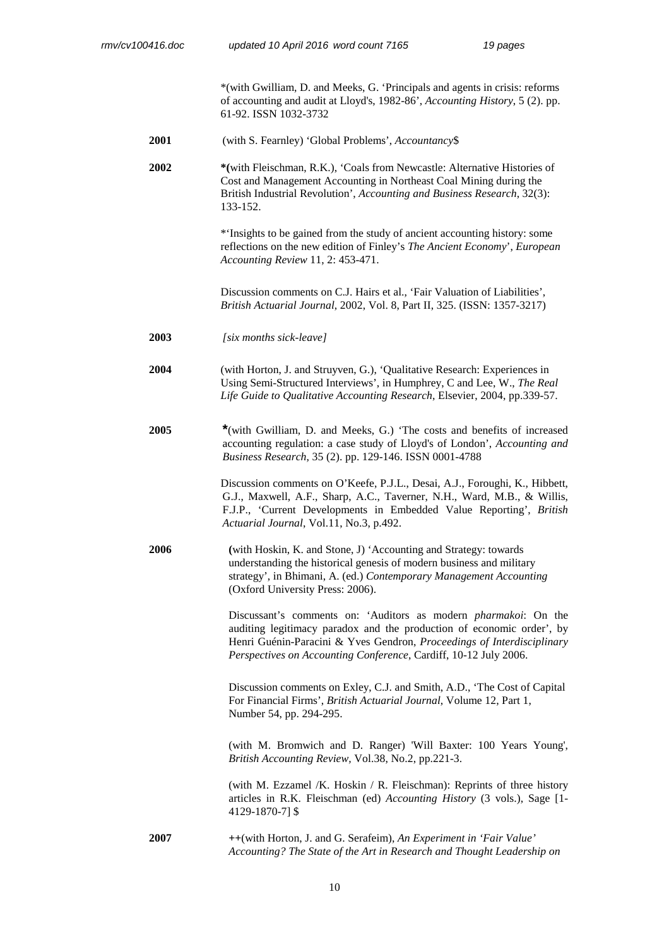\*(with Gwilliam, D. and Meeks, G. 'Principals and agents in crisis: reforms of accounting and audit at Lloyd's, 1982-86', *Accounting History*, 5 (2). pp. 61-92. ISSN 1032-3732

**2001** (with S. Fearnley) 'Global Problems', *Accountancy*\$

**2002 \*(**with Fleischman, R.K.), 'Coals from Newcastle: Alternative Histories of Cost and Management Accounting in Northeast Coal Mining during the British Industrial Revolution', *Accounting and Business Research*, 32(3): 133-152.

> \*'Insights to be gained from the study of ancient accounting history: some reflections on the new edition of Finley's *The Ancient Economy*', *European Accounting Review* 11, 2: 453-471.

Discussion comments on C.J. Hairs et al., 'Fair Valuation of Liabilities', *British Actuarial Journal*, 2002, Vol. 8, Part II, 325. (ISSN: 1357-3217)

**2003** *[six months sick-leave]*

**2004** (with Horton, J. and Struyven, G.), 'Qualitative Research: Experiences in Using Semi-Structured Interviews', in Humphrey, C and Lee, W., *The Real Life Guide to Qualitative Accounting Research*, Elsevier, 2004, pp.339-57.

**2005 \***(with Gwilliam, D. and Meeks, G.) 'The costs and benefits of increased accounting regulation: a case study of Lloyd's of London', *Accounting and Business Research*, 35 (2). pp. 129-146. ISSN 0001-4788

> Discussion comments on O'Keefe, P.J.L., Desai, A.J., Foroughi, K., Hibbett, G.J., Maxwell, A.F., Sharp, A.C., Taverner, N.H., Ward, M.B., & Willis, F.J.P., 'Current Developments in Embedded Value Reporting', *British Actuarial Journal*, Vol.11, No.3, p.492.

**2006 (**with Hoskin, K. and Stone, J) 'Accounting and Strategy: towards understanding the historical genesis of modern business and military strategy', in Bhimani, A. (ed.) *Contemporary Management Accounting*  (Oxford University Press: 2006).

> Discussant's comments on: 'Auditors as modern *pharmakoi*: On the auditing legitimacy paradox and the production of economic order', by Henri Guénin-Paracini & Yves Gendron, *Proceedings of Interdisciplinary Perspectives on Accounting Conference*, Cardiff, 10-12 July 2006.

> Discussion comments on Exley, C.J. and Smith, A.D., 'The Cost of Capital For Financial Firms', *British Actuarial Journal*, Volume 12, Part 1, Number 54, pp. 294-295.

> (with M. Bromwich and D. Ranger) 'Will Baxter: 100 Years Young', *British Accounting Review,* Vol.38, No.2, pp.221-3.

> (with M. Ezzamel /K. Hoskin / R. Fleischman): Reprints of three history articles in R.K. Fleischman (ed) *Accounting History* (3 vols.), Sage [1- 4129-1870-7] \$

**2007 ++**(with Horton, J. and G. Serafeim), *An Experiment in 'Fair Value' Accounting? The State of the Art in Research and Thought Leadership on*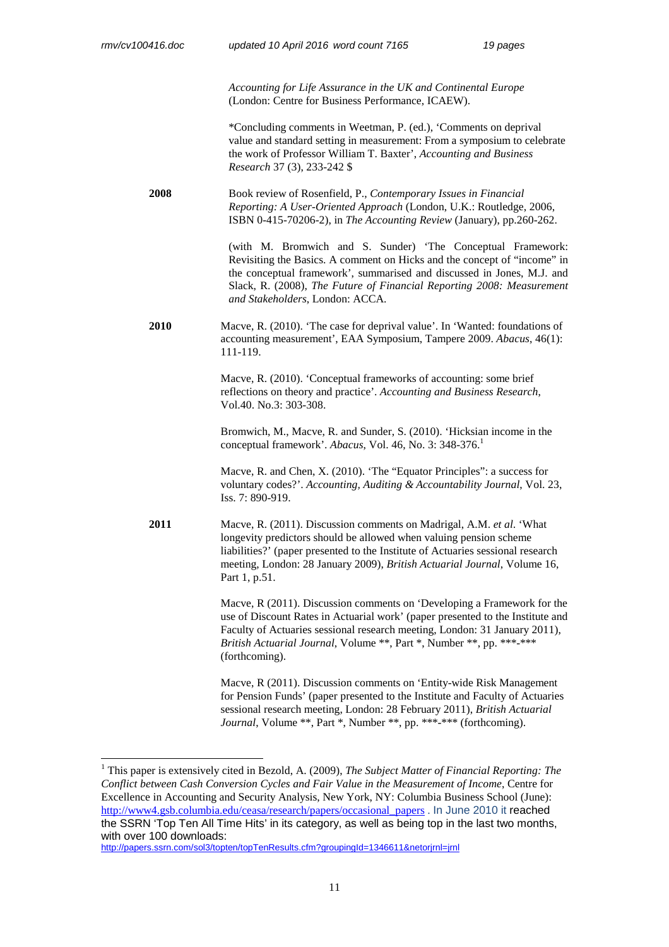$\overline{a}$ 

*Accounting for Life Assurance in the UK and Continental Europe*  (London: Centre for Business Performance, ICAEW).

\*Concluding comments in Weetman, P. (ed.), 'Comments on deprival value and standard setting in measurement: From a symposium to celebrate the work of Professor William T. Baxter', *Accounting and Business Research* 37 (3), 233-242 \$

**2008** Book review of Rosenfield, P., *Contemporary Issues in Financial Reporting: A User-Oriented Approach* (London, U.K.: Routledge, 2006, ISBN 0-415-70206-2), in *The Accounting Review* (January), pp.260-262.

> (with M. Bromwich and S. Sunder) 'The Conceptual Framework: Revisiting the Basics. A comment on Hicks and the concept of "income" in the conceptual framework', summarised and discussed in Jones, M.J. and Slack, R. (2008), *The Future of Financial Reporting 2008: Measurement and Stakeholders*, London: ACCA.

**2010** Macve, R. (2010). 'The case for deprival value'. In 'Wanted: foundations of accounting measurement', EAA Symposium, Tampere 2009. *Abacus*, 46(1): 111-119.

> Macve, R. (2010). 'Conceptual frameworks of accounting: some brief reflections on theory and practice'. *Accounting and Business Research*, Vol.40. No.3: 303-308.

Bromwich, M., Macve, R. and Sunder, S. (2010). 'Hicksian income in the conceptual framework'. *Abacus*, Vol. 46, No. 3: 348-376.<sup>1</sup>

Macve, R. and Chen, X. (2010). 'The "Equator Principles": a success for voluntary codes?'. *Accounting, Auditing & Accountability Journal*, Vol. 23, Iss. 7: 890-919.

**2011** Macve, R. (2011). Discussion comments on Madrigal, A.M. *et al*. 'What longevity predictors should be allowed when valuing pension scheme liabilities?' (paper presented to the Institute of Actuaries sessional research meeting, London: 28 January 2009), *British Actuarial Journal*, Volume 16, Part 1, p.51.

> Macve, R (2011). Discussion comments on 'Developing a Framework for the use of Discount Rates in Actuarial work' (paper presented to the Institute and Faculty of Actuaries sessional research meeting, London: 31 January 2011), *British Actuarial Journal*, Volume \*\*, Part \*, Number \*\*, pp. \*\*\*-\*\*\* (forthcoming).

Macve, R (2011). Discussion comments on 'Entity-wide Risk Management for Pension Funds' (paper presented to the Institute and Faculty of Actuaries sessional research meeting, London: 28 February 2011), *British Actuarial Journal*, Volume \*\*, Part \*, Number \*\*, pp. \*\*\*-\*\*\* (forthcoming).

http://papers.ssrn.com/sol3/topten/topTenResults.cfm?groupingId=1346611&netorjrnl=jrnl

<sup>&</sup>lt;sup>1</sup> This paper is extensively cited in Bezold, A. (2009), *The Subject Matter of Financial Reporting: The Conflict between Cash Conversion Cycles and Fair Value in the Measurement of Income*, Centre for Excellence in Accounting and Security Analysis, New York, NY: Columbia Business School (June): http://www4.gsb.columbia.edu/ceasa/research/papers/occasional\_papers . In June 2010 it reached the SSRN 'Top Ten All Time Hits' in its category, as well as being top in the last two months, with over 100 downloads: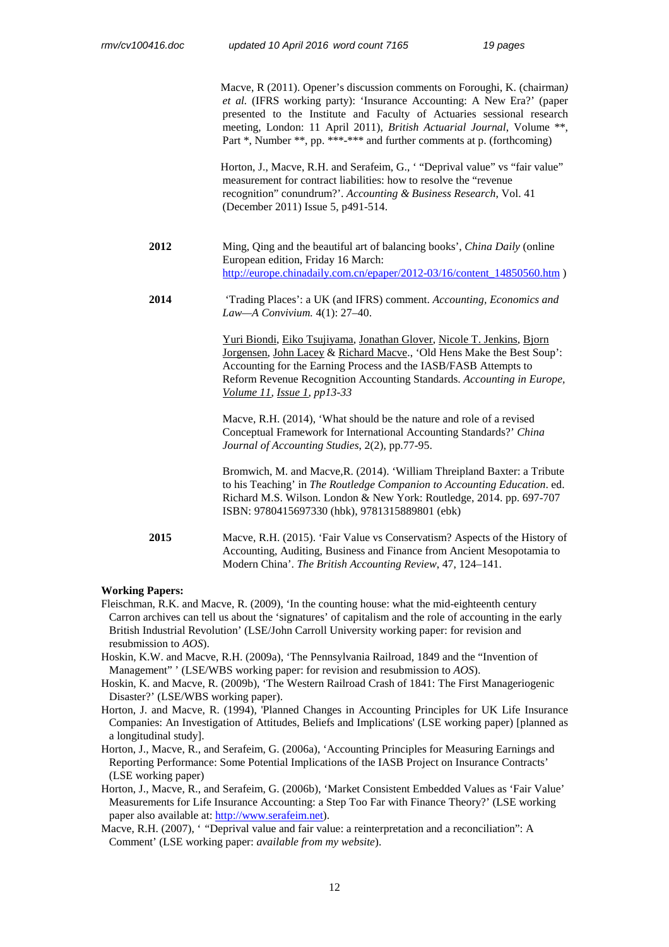Macve, R (2011). Opener's discussion comments on Foroughi, K. (chairman*) et al.* (IFRS working party): 'Insurance Accounting: A New Era?' (paper presented to the Institute and Faculty of Actuaries sessional research meeting, London: 11 April 2011), *British Actuarial Journal*, Volume \*\*, Part \*, Number \*\*, pp. \*\*\*-\*\*\* and further comments at p. (forthcoming)

Horton, J., Macve, R.H. and Serafeim, G., '"Deprival value" vs "fair value" measurement for contract liabilities: how to resolve the "revenue recognition" conundrum?'. *Accounting & Business Research*, Vol. 41 (December 2011) Issue 5, p491-514.

- **2012** Ming, Qing and the beautiful art of balancing books', *China Daily* (online European edition, Friday 16 March: http://europe.chinadaily.com.cn/epaper/2012-03/16/content\_14850560.htm )
- **2014** 'Trading Places': a UK (and IFRS) comment. *Accounting, Economics and Law—A Convivium.* 4(1): 27–40.

Yuri Biondi, Eiko Tsujiyama, Jonathan Glover, Nicole T. Jenkins, Bjorn Jorgensen, John Lacey & Richard Macve., 'Old Hens Make the Best Soup': Accounting for the Earning Process and the IASB/FASB Attempts to Reform Revenue Recognition Accounting Standards. *Accounting in Europe, Volume 11, Issue 1, pp13-33* 

Macve, R.H. (2014), 'What should be the nature and role of a revised Conceptual Framework for International Accounting Standards?' *China Journal of Accounting Studies*, 2(2), pp.77-95.

 Bromwich, M. and Macve,R. (2014). 'William Threipland Baxter: a Tribute to his Teaching' in *The Routledge Companion to Accounting Education*. ed. Richard M.S. Wilson. London & New York: Routledge, 2014. pp. 697-707 ISBN: 9780415697330 (hbk), 9781315889801 (ebk)

**2015** Macve, R.H. (2015). 'Fair Value vs Conservatism? Aspects of the History of Accounting, Auditing, Business and Finance from Ancient Mesopotamia to Modern China'. *The British Accounting Review*, 47, 124–141.

#### **Working Papers:**

- Fleischman, R.K. and Macve, R. (2009), 'In the counting house: what the mid-eighteenth century Carron archives can tell us about the 'signatures' of capitalism and the role of accounting in the early British Industrial Revolution' (LSE/John Carroll University working paper: for revision and resubmission to *AOS*).
- Hoskin, K.W. and Macve, R.H. (2009a), 'The Pennsylvania Railroad, 1849 and the "Invention of Management" ' (LSE/WBS working paper: for revision and resubmission to *AOS*).
- Hoskin, K. and Macve, R. (2009b), 'The Western Railroad Crash of 1841: The First Manageriogenic Disaster?' (LSE/WBS working paper).
- Horton, J. and Macve, R. (1994), 'Planned Changes in Accounting Principles for UK Life Insurance Companies: An Investigation of Attitudes, Beliefs and Implications' (LSE working paper) [planned as a longitudinal study].
- Horton, J., Macve, R., and Serafeim, G. (2006a), 'Accounting Principles for Measuring Earnings and Reporting Performance: Some Potential Implications of the IASB Project on Insurance Contracts' (LSE working paper)
- Horton, J., Macve, R., and Serafeim, G. (2006b), 'Market Consistent Embedded Values as 'Fair Value' Measurements for Life Insurance Accounting: a Step Too Far with Finance Theory?' (LSE working paper also available at: http://www.serafeim.net).
- Macve, R.H. (2007), '*'*Deprival value and fair value: a reinterpretation and a reconciliation'': A Comment' (LSE working paper: *available from my website*).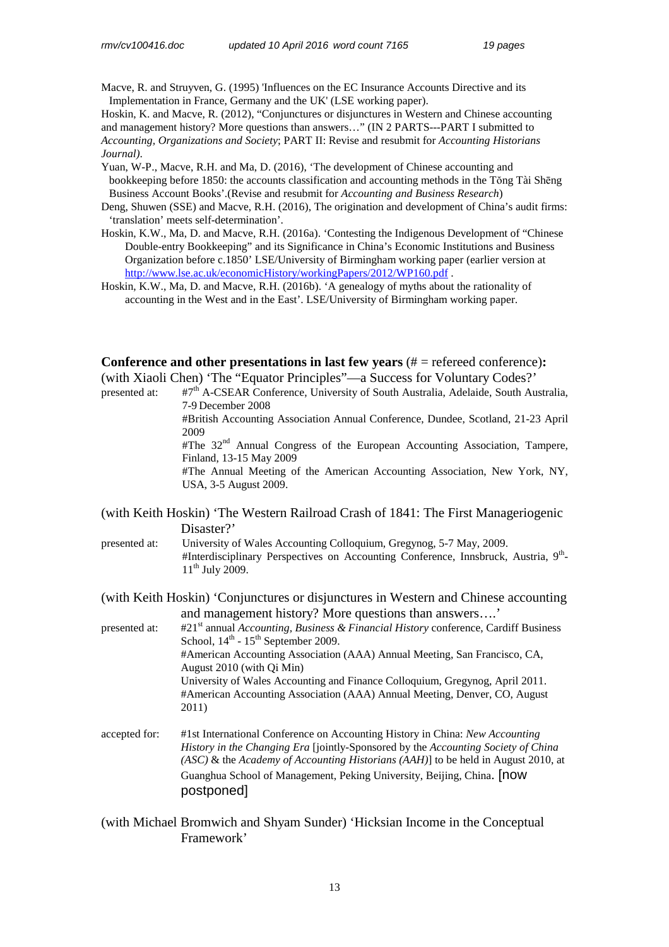Macve, R. and Struyven, G. (1995) 'Influences on the EC Insurance Accounts Directive and its Implementation in France, Germany and the UK' (LSE working paper).

Hoskin, K. and Macve, R. (2012), "Conjunctures or disjunctures in Western and Chinese accounting and management history? More questions than answers…" (IN 2 PARTS---PART I submitted to *Accounting, Organizations and Society*; PART II: Revise and resubmit for *Accounting Historians Journal)*.

Yuan, W-P., Macve, R.H. and Ma, D. (2016), 'The development of Chinese accounting and bookkeeping before 1850: the accounts classification and accounting methods in the Tŏng Tài Shēng Business Account Books'.(Revise and resubmit for *Accounting and Business Research*)

- Deng, Shuwen (SSE) and Macve, R.H. (2016), The origination and development of China's audit firms: 'translation' meets self-determination'.
- Hoskin, K.W., Ma, D. and Macve, R.H. (2016a). 'Contesting the Indigenous Development of "Chinese Double-entry Bookkeeping" and its Significance in China's Economic Institutions and Business Organization before c.1850' LSE/University of Birmingham working paper (earlier version at http://www.lse.ac.uk/economicHistory/workingPapers/2012/WP160.pdf .
- Hoskin, K.W., Ma, D. and Macve, R.H. (2016b). 'A genealogy of myths about the rationality of accounting in the West and in the East'. LSE/University of Birmingham working paper.

**Conference and other presentations in last few years** (# = refereed conference)**:**  (with Xiaoli Chen) 'The "Equator Principles"—a Success for Voluntary Codes?'

presented at: #7<sup>th</sup> A-CSEAR Conference, University of South Australia, Adelaide, South Australia, 7-9 December 2008

 #British Accounting Association Annual Conference, Dundee, Scotland, 21-23 April 2009

 $#$ The  $32<sup>nd</sup>$  Annual Congress of the European Accounting Association, Tampere, Finland, 13-15 May 2009

 #The Annual Meeting of the American Accounting Association, New York, NY, USA, 3-5 August 2009.

- (with Keith Hoskin) 'The Western Railroad Crash of 1841: The First Manageriogenic Disaster?'
- presented at: University of Wales Accounting Colloquium, Gregynog, 5-7 May, 2009. #Interdisciplinary Perspectives on Accounting Conference, Innsbruck, Austria, 9<sup>th</sup>- $11^{th}$  July 2009.

(with Keith Hoskin) 'Conjunctures or disjunctures in Western and Chinese accounting and management history? More questions than answers….'

presented at: #21st annual *Accounting, Business & Financial History* conference, Cardiff Business School,  $14<sup>th</sup>$  -  $15<sup>th</sup>$  September 2009. #American Accounting Association (AAA) Annual Meeting, San Francisco, CA, August 2010 (with Qi Min) University of Wales Accounting and Finance Colloquium, Gregynog, April 2011. #American Accounting Association (AAA) Annual Meeting, Denver, CO, August 2011)

- accepted for: #1st International Conference on Accounting History in China: *New Accounting History in the Changing Era* [jointly-Sponsored by the *Accounting Society of China (ASC)* & the *Academy of Accounting Historians (AAH)*] to be held in August 2010, at Guanghua School of Management, Peking University, Beijing, China. [now postponed]
- (with Michael Bromwich and Shyam Sunder) 'Hicksian Income in the Conceptual Framework'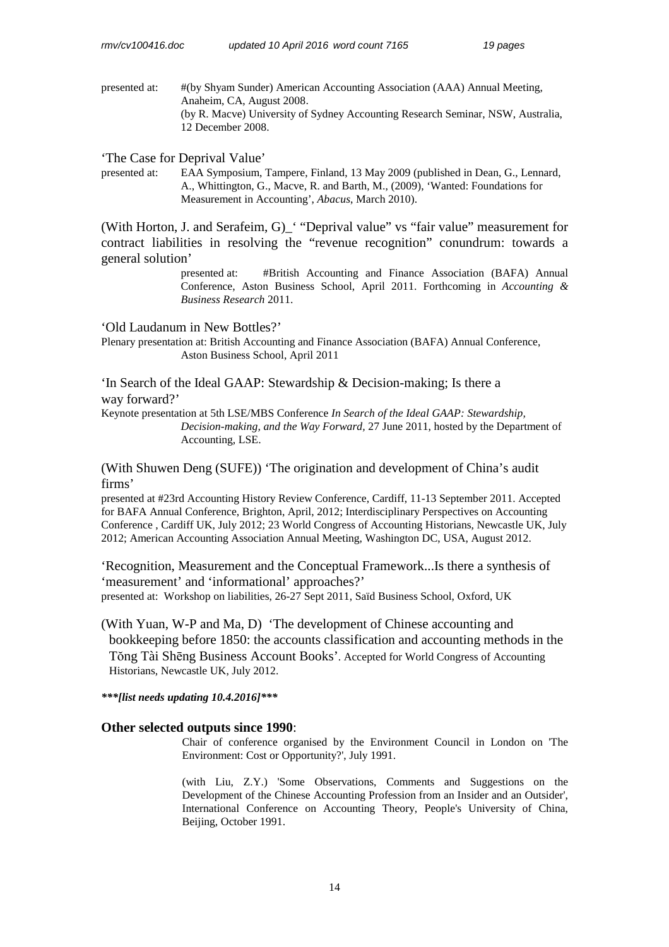presented at: #(by Shyam Sunder) American Accounting Association (AAA) Annual Meeting, Anaheim, CA, August 2008. (by R. Macve) University of Sydney Accounting Research Seminar, NSW, Australia, 12 December 2008.

'The Case for Deprival Value'

presented at: EAA Symposium, Tampere, Finland, 13 May 2009 (published in Dean, G., Lennard, A., Whittington, G., Macve, R. and Barth, M., (2009), 'Wanted: Foundations for Measurement in Accounting', *Abacus*, March 2010).

(With Horton, J. and Serafeim, G)\_' "Deprival value" vs "fair value" measurement for contract liabilities in resolving the "revenue recognition" conundrum: towards a general solution'

> presented at: #British Accounting and Finance Association (BAFA) Annual Conference, Aston Business School, April 2011. Forthcoming in *Accounting & Business Research* 2011.

'Old Laudanum in New Bottles?'

Plenary presentation at: British Accounting and Finance Association (BAFA) Annual Conference, Aston Business School, April 2011

'In Search of the Ideal GAAP: Stewardship & Decision-making; Is there a way forward?'

Keynote presentation at 5th LSE/MBS Conference *In Search of the Ideal GAAP: Stewardship, Decision-making, and the Way Forward,* 27 June 2011, hosted by the Department of Accounting, LSE.

(With Shuwen Deng (SUFE)) 'The origination and development of China's audit firms'

presented at #23rd Accounting History Review Conference, Cardiff, 11-13 September 2011. Accepted for BAFA Annual Conference, Brighton, April, 2012; Interdisciplinary Perspectives on Accounting Conference , Cardiff UK, July 2012; 23 World Congress of Accounting Historians, Newcastle UK, July 2012; American Accounting Association Annual Meeting, Washington DC, USA, August 2012.

'Recognition, Measurement and the Conceptual Framework...Is there a synthesis of 'measurement' and 'informational' approaches?' presented at: Workshop on liabilities, 26-27 Sept 2011, Saïd Business School, Oxford, UK

(With Yuan, W-P and Ma, D) 'The development of Chinese accounting and bookkeeping before 1850: the accounts classification and accounting methods in the Tŏng Tài Shēng Business Account Books'. Accepted for World Congress of Accounting Historians, Newcastle UK, July 2012.

*\*\*\*[list needs updating 10.4.2016]\*\*\** 

## **Other selected outputs since 1990**:

Chair of conference organised by the Environment Council in London on 'The Environment: Cost or Opportunity?', July 1991.

(with Liu, Z.Y.) 'Some Observations, Comments and Suggestions on the Development of the Chinese Accounting Profession from an Insider and an Outsider', International Conference on Accounting Theory, People's University of China, Beijing, October 1991.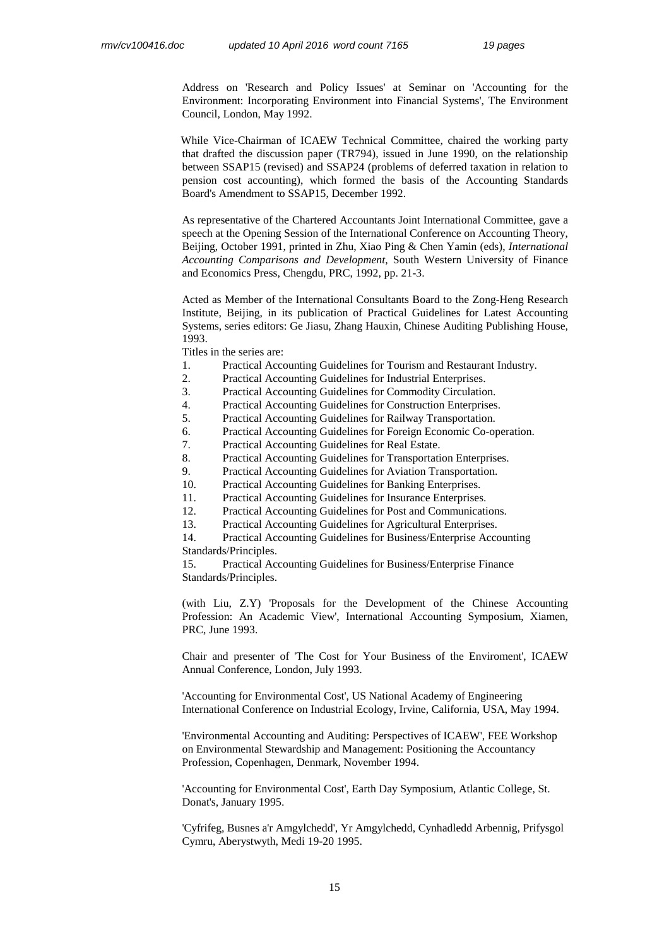Address on 'Research and Policy Issues' at Seminar on 'Accounting for the Environment: Incorporating Environment into Financial Systems', The Environment Council, London, May 1992.

While Vice-Chairman of ICAEW Technical Committee, chaired the working party that drafted the discussion paper (TR794), issued in June 1990, on the relationship between SSAP15 (revised) and SSAP24 (problems of deferred taxation in relation to pension cost accounting), which formed the basis of the Accounting Standards Board's Amendment to SSAP15, December 1992.

As representative of the Chartered Accountants Joint International Committee, gave a speech at the Opening Session of the International Conference on Accounting Theory, Beijing, October 1991, printed in Zhu, Xiao Ping & Chen Yamin (eds), *International Accounting Comparisons and Development*, South Western University of Finance and Economics Press, Chengdu, PRC, 1992, pp. 21-3.

Acted as Member of the International Consultants Board to the Zong-Heng Research Institute, Beijing, in its publication of Practical Guidelines for Latest Accounting Systems, series editors: Ge Jiasu, Zhang Hauxin, Chinese Auditing Publishing House, 1993.

Titles in the series are:

- 1. Practical Accounting Guidelines for Tourism and Restaurant Industry.
- 2. Practical Accounting Guidelines for Industrial Enterprises.
- 3. Practical Accounting Guidelines for Commodity Circulation.
- 4. Practical Accounting Guidelines for Construction Enterprises.
- 5. Practical Accounting Guidelines for Railway Transportation.
- 6. Practical Accounting Guidelines for Foreign Economic Co-operation.
- 7. Practical Accounting Guidelines for Real Estate.
- 8. Practical Accounting Guidelines for Transportation Enterprises.
- 9. Practical Accounting Guidelines for Aviation Transportation.
- 10. Practical Accounting Guidelines for Banking Enterprises.
- 11. Practical Accounting Guidelines for Insurance Enterprises.
- 12. Practical Accounting Guidelines for Post and Communications.
- 13. Practical Accounting Guidelines for Agricultural Enterprises.

 14. Practical Accounting Guidelines for Business/Enterprise Accounting Standards/Principles.

 15. Practical Accounting Guidelines for Business/Enterprise Finance Standards/Principles.

(with Liu, Z.Y) 'Proposals for the Development of the Chinese Accounting Profession: An Academic View', International Accounting Symposium, Xiamen, PRC, June 1993.

Chair and presenter of 'The Cost for Your Business of the Enviroment', ICAEW Annual Conference, London, July 1993.

'Accounting for Environmental Cost', US National Academy of Engineering International Conference on Industrial Ecology, Irvine, California, USA, May 1994.

'Environmental Accounting and Auditing: Perspectives of ICAEW', FEE Workshop on Environmental Stewardship and Management: Positioning the Accountancy Profession, Copenhagen, Denmark, November 1994.

'Accounting for Environmental Cost', Earth Day Symposium, Atlantic College, St. Donat's, January 1995.

'Cyfrifeg, Busnes a'r Amgylchedd', Yr Amgylchedd, Cynhadledd Arbennig, Prifysgol Cymru, Aberystwyth, Medi 19-20 1995.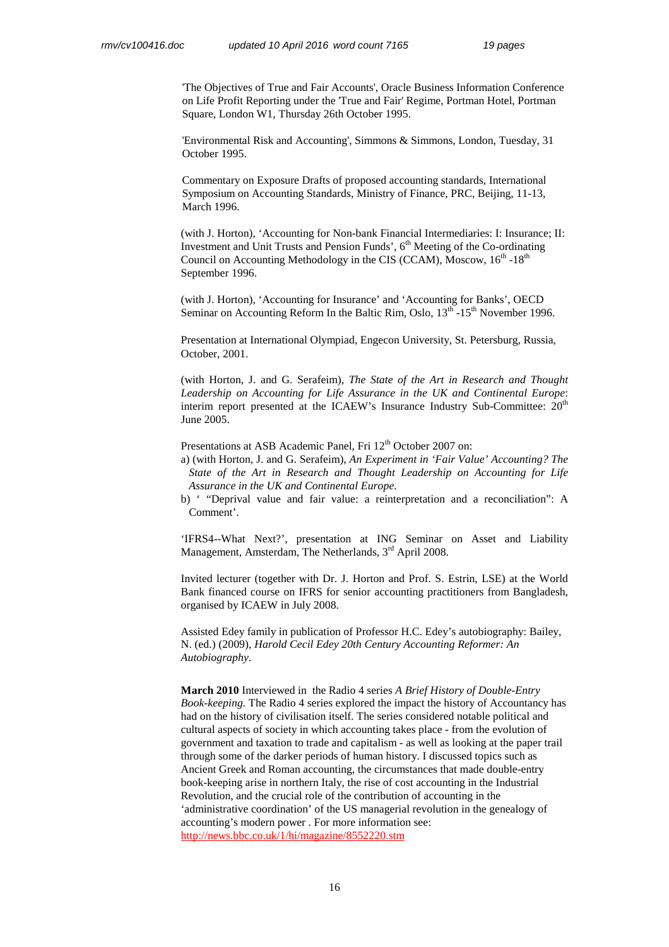'The Objectives of True and Fair Accounts', Oracle Business Information Conference on Life Profit Reporting under the 'True and Fair' Regime, Portman Hotel, Portman Square, London W1, Thursday 26th October 1995.

'Environmental Risk and Accounting', Simmons & Simmons, London, Tuesday, 31 October 1995.

 Commentary on Exposure Drafts of proposed accounting standards, International Symposium on Accounting Standards, Ministry of Finance, PRC, Beijing, 11-13, March 1996.

 (with J. Horton), 'Accounting for Non-bank Financial Intermediaries: I: Insurance; II: Investment and Unit Trusts and Pension Funds', 6<sup>th</sup> Meeting of the Co-ordinating Council on Accounting Methodology in the CIS (CCAM), Moscow,  $16<sup>th</sup> - 18<sup>th</sup>$ September 1996.

(with J. Horton), 'Accounting for Insurance' and 'Accounting for Banks', OECD Seminar on Accounting Reform In the Baltic Rim, Oslo,  $13^{\text{th}}$  -15<sup>th</sup> November 1996.

Presentation at International Olympiad, Engecon University, St. Petersburg, Russia, October, 2001.

(with Horton, J. and G. Serafeim), *The State of the Art in Research and Thought Leadership on Accounting for Life Assurance in the UK and Continental Europe*: interim report presented at the ICAEW's Insurance Industry Sub-Committee: 20<sup>th</sup> June 2005.

Presentations at ASB Academic Panel, Fri 12<sup>th</sup> October 2007 on:

a) (with Horton, J. and G. Serafeim), *An Experiment in 'Fair Value' Accounting? The State of the Art in Research and Thought Leadership on Accounting for Life Assurance in the UK and Continental Europe*.

b) ' "Deprival value and fair value: a reinterpretation and a reconciliation": A Comment'.

'IFRS4--What Next?', presentation at ING Seminar on Asset and Liability Management, Amsterdam, The Netherlands,  $3<sup>rd</sup>$  April 2008.

Invited lecturer (together with Dr. J. Horton and Prof. S. Estrin, LSE) at the World Bank financed course on IFRS for senior accounting practitioners from Bangladesh, organised by ICAEW in July 2008.

Assisted Edey family in publication of Professor H.C. Edey's autobiography: Bailey, N. (ed.) (2009), *Harold Cecil Edey 20th Century Accounting Reformer: An Autobiography*.

**March 2010** Interviewed in the Radio 4 series *A Brief History of Double-Entry Book-keeping.* The Radio 4 series explored the impact the history of Accountancy has had on the history of civilisation itself. The series considered notable political and cultural aspects of society in which accounting takes place - from the evolution of government and taxation to trade and capitalism - as well as looking at the paper trail through some of the darker periods of human history. I discussed topics such as Ancient Greek and Roman accounting, the circumstances that made double-entry book-keeping arise in northern Italy, the rise of cost accounting in the Industrial Revolution, and the crucial role of the contribution of accounting in the 'administrative coordination' of the US managerial revolution in the genealogy of accounting's modern power . For more information see: http://news.bbc.co.uk/1/hi/magazine/8552220.stm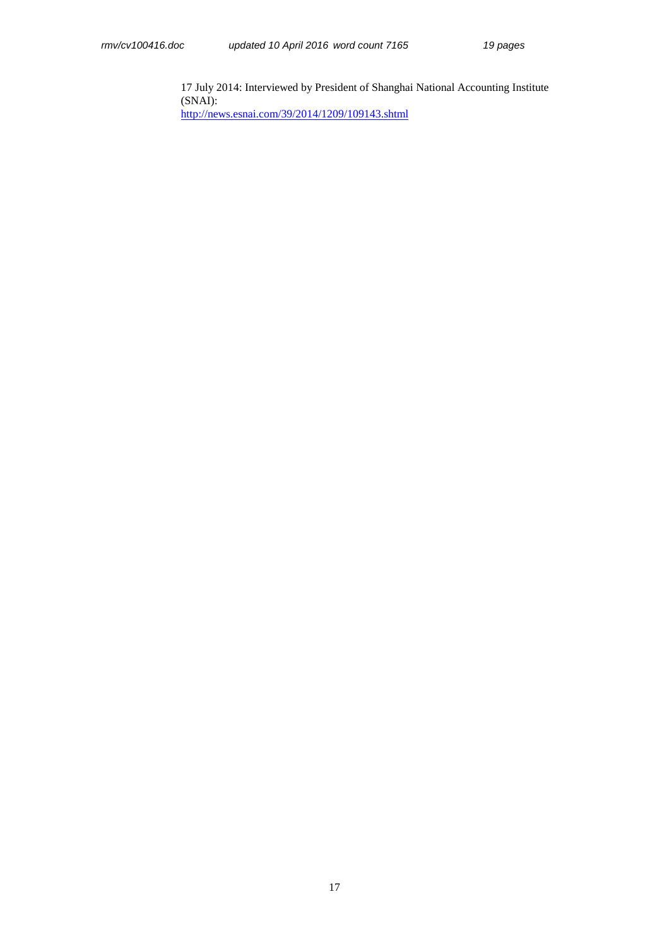17 July 2014: Interviewed by President of Shanghai National Accounting Institute (SNAI): http://news.esnai.com/39/2014/1209/109143.shtml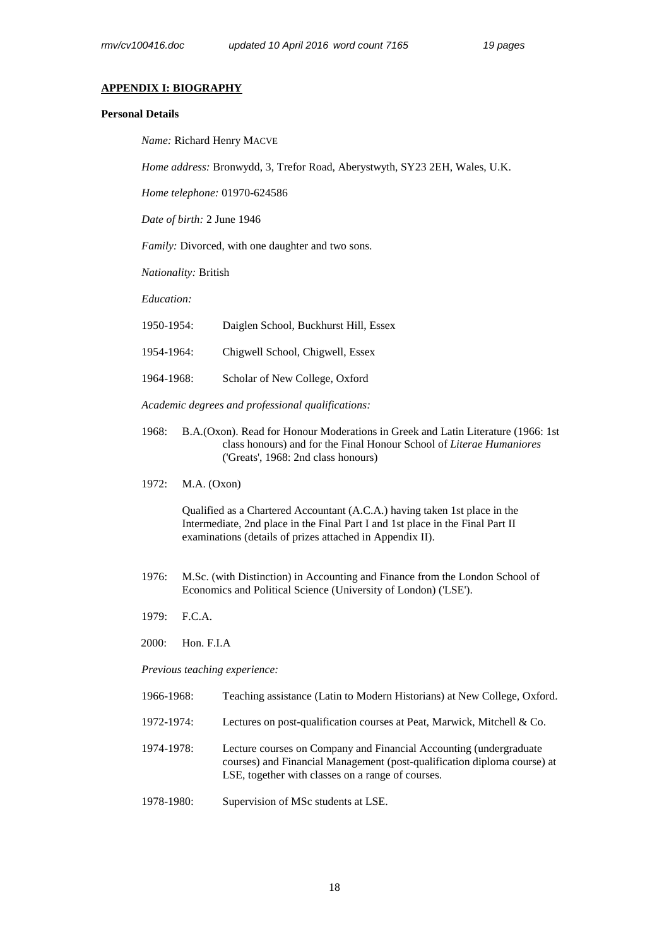#### **APPENDIX I: BIOGRAPHY**

## **Personal Details**

*Name:* Richard Henry MACVE

*Home address:* Bronwydd, 3, Trefor Road, Aberystwyth, SY23 2EH, Wales, U.K.

*Home telephone:* 01970-624586

*Date of birth:* 2 June 1946

*Family:* Divorced, with one daughter and two sons.

*Nationality:* British

*Education:*

| 1950-1954: |  | Daiglen School, Buckhurst Hill, Essex |  |
|------------|--|---------------------------------------|--|
|            |  |                                       |  |

- 1954-1964: Chigwell School, Chigwell, Essex
- 1964-1968: Scholar of New College, Oxford

*Academic degrees and professional qualifications:* 

- 1968: B.A.(Oxon). Read for Honour Moderations in Greek and Latin Literature (1966: 1st class honours) and for the Final Honour School of *Literae Humaniores* ('Greats', 1968: 2nd class honours)
- 1972: M.A. (Oxon)

Qualified as a Chartered Accountant (A.C.A.) having taken 1st place in the Intermediate, 2nd place in the Final Part I and 1st place in the Final Part II examinations (details of prizes attached in Appendix II).

- 1976: M.Sc. (with Distinction) in Accounting and Finance from the London School of Economics and Political Science (University of London) ('LSE').
- 1979: F.C.A.
- 2000: Hon. F.I.A

*Previous teaching experience:* 

- 1966-1968: Teaching assistance (Latin to Modern Historians) at New College, Oxford.
- 1972-1974: Lectures on post-qualification courses at Peat, Marwick, Mitchell & Co.
- 1974-1978: Lecture courses on Company and Financial Accounting (undergraduate courses) and Financial Management (post-qualification diploma course) at LSE, together with classes on a range of courses.
- 1978-1980: Supervision of MSc students at LSE.